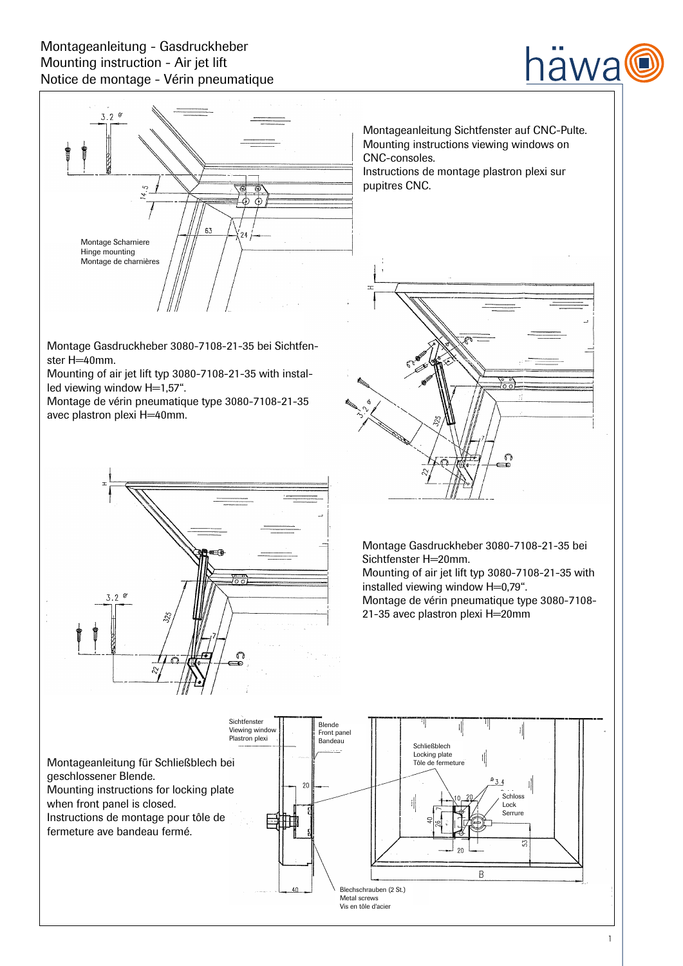# Montageanleitung - Gasdruckheber Mounting instruction - Air jet lift Notice de montage - Vérin pneumatique





Montage Gasdruckheber 3080-7108-21-35 bei Sichtfenster H=40mm.

Mounting of air jet lift typ 3080-7108-21-35 with installed viewing window H=1,57".

Montage de vérin pneumatique type 3080-7108-21-35 avec plastron plexi H=40mm.



Montageanleitung Sichtfenster auf CNC-Pulte. Mounting instructions viewing windows on CNC-consoles. Instructions de montage plastron plexi sur pupitres CNC.



 $\sigma$ æ

Mounting of air jet lift typ 3080-7108-21-35 with installed viewing window H=0,79". Montage de vérin pneumatique type 3080-7108- 21-35 avec plastron plexi H=20mm